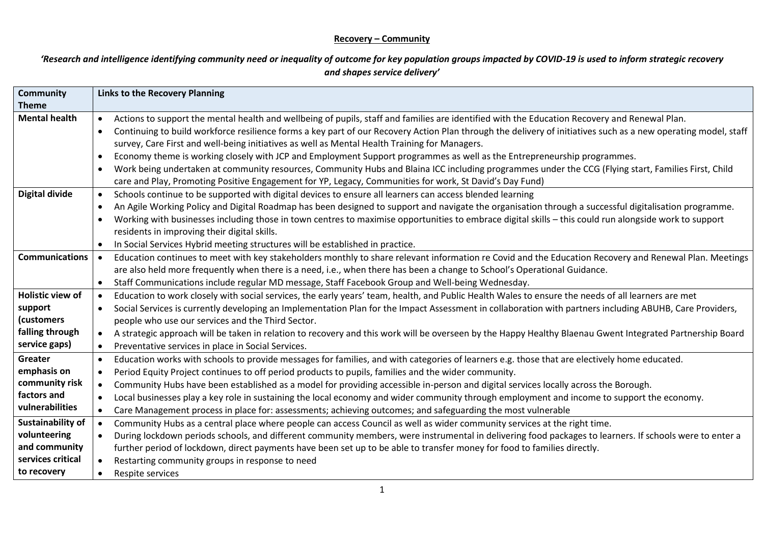#### **Recovery – Community**

*'Research and intelligence identifying community need or inequality of outcome for key population groups impacted by COVID-19 is used to inform strategic recovery and shapes service delivery'*

| <b>Community</b>         | <b>Links to the Recovery Planning</b> |                                                                                                                                                                |
|--------------------------|---------------------------------------|----------------------------------------------------------------------------------------------------------------------------------------------------------------|
| <b>Theme</b>             |                                       |                                                                                                                                                                |
| <b>Mental health</b>     | $\bullet$                             | Actions to support the mental health and wellbeing of pupils, staff and families are identified with the Education Recovery and Renewal Plan.                  |
|                          | $\bullet$                             | Continuing to build workforce resilience forms a key part of our Recovery Action Plan through the delivery of initiatives such as a new operating model, staff |
|                          |                                       | survey, Care First and well-being initiatives as well as Mental Health Training for Managers.                                                                  |
|                          | $\bullet$                             | Economy theme is working closely with JCP and Employment Support programmes as well as the Entrepreneurship programmes.                                        |
|                          | $\bullet$                             | Work being undertaken at community resources, Community Hubs and Blaina ICC including programmes under the CCG (Flying start, Families First, Child            |
|                          |                                       | care and Play, Promoting Positive Engagement for YP, Legacy, Communities for work, St David's Day Fund)                                                        |
| <b>Digital divide</b>    | $\bullet$                             | Schools continue to be supported with digital devices to ensure all learners can access blended learning                                                       |
|                          | $\bullet$                             | An Agile Working Policy and Digital Roadmap has been designed to support and navigate the organisation through a successful digitalisation programme.          |
|                          | $\bullet$                             | Working with businesses including those in town centres to maximise opportunities to embrace digital skills - this could run alongside work to support         |
|                          |                                       | residents in improving their digital skills.                                                                                                                   |
|                          | $\bullet$                             | In Social Services Hybrid meeting structures will be established in practice.                                                                                  |
| <b>Communications</b>    |                                       | Education continues to meet with key stakeholders monthly to share relevant information re Covid and the Education Recovery and Renewal Plan. Meetings         |
|                          |                                       | are also held more frequently when there is a need, i.e., when there has been a change to School's Operational Guidance.                                       |
|                          | $\bullet$                             | Staff Communications include regular MD message, Staff Facebook Group and Well-being Wednesday.                                                                |
| <b>Holistic view of</b>  | $\bullet$                             | Education to work closely with social services, the early years' team, health, and Public Health Wales to ensure the needs of all learners are met             |
| support                  | $\bullet$                             | Social Services is currently developing an Implementation Plan for the Impact Assessment in collaboration with partners including ABUHB, Care Providers,       |
| (customers               |                                       | people who use our services and the Third Sector.                                                                                                              |
| falling through          | $\bullet$                             | A strategic approach will be taken in relation to recovery and this work will be overseen by the Happy Healthy Blaenau Gwent Integrated Partnership Board      |
| service gaps)            | $\bullet$                             | Preventative services in place in Social Services.                                                                                                             |
| Greater                  | $\bullet$                             | Education works with schools to provide messages for families, and with categories of learners e.g. those that are electively home educated.                   |
| emphasis on              | $\bullet$                             | Period Equity Project continues to off period products to pupils, families and the wider community.                                                            |
| community risk           | $\bullet$                             | Community Hubs have been established as a model for providing accessible in-person and digital services locally across the Borough.                            |
| factors and              | $\bullet$                             | Local businesses play a key role in sustaining the local economy and wider community through employment and income to support the economy.                     |
| vulnerabilities          | $\bullet$                             | Care Management process in place for: assessments; achieving outcomes; and safeguarding the most vulnerable                                                    |
| <b>Sustainability of</b> | $\bullet$                             | Community Hubs as a central place where people can access Council as well as wider community services at the right time.                                       |
| volunteering             | $\bullet$                             | During lockdown periods schools, and different community members, were instrumental in delivering food packages to learners. If schools were to enter a        |
| and community            |                                       | further period of lockdown, direct payments have been set up to be able to transfer money for food to families directly.                                       |
| services critical        | $\bullet$                             | Restarting community groups in response to need                                                                                                                |
| to recovery              | $\bullet$                             | Respite services                                                                                                                                               |